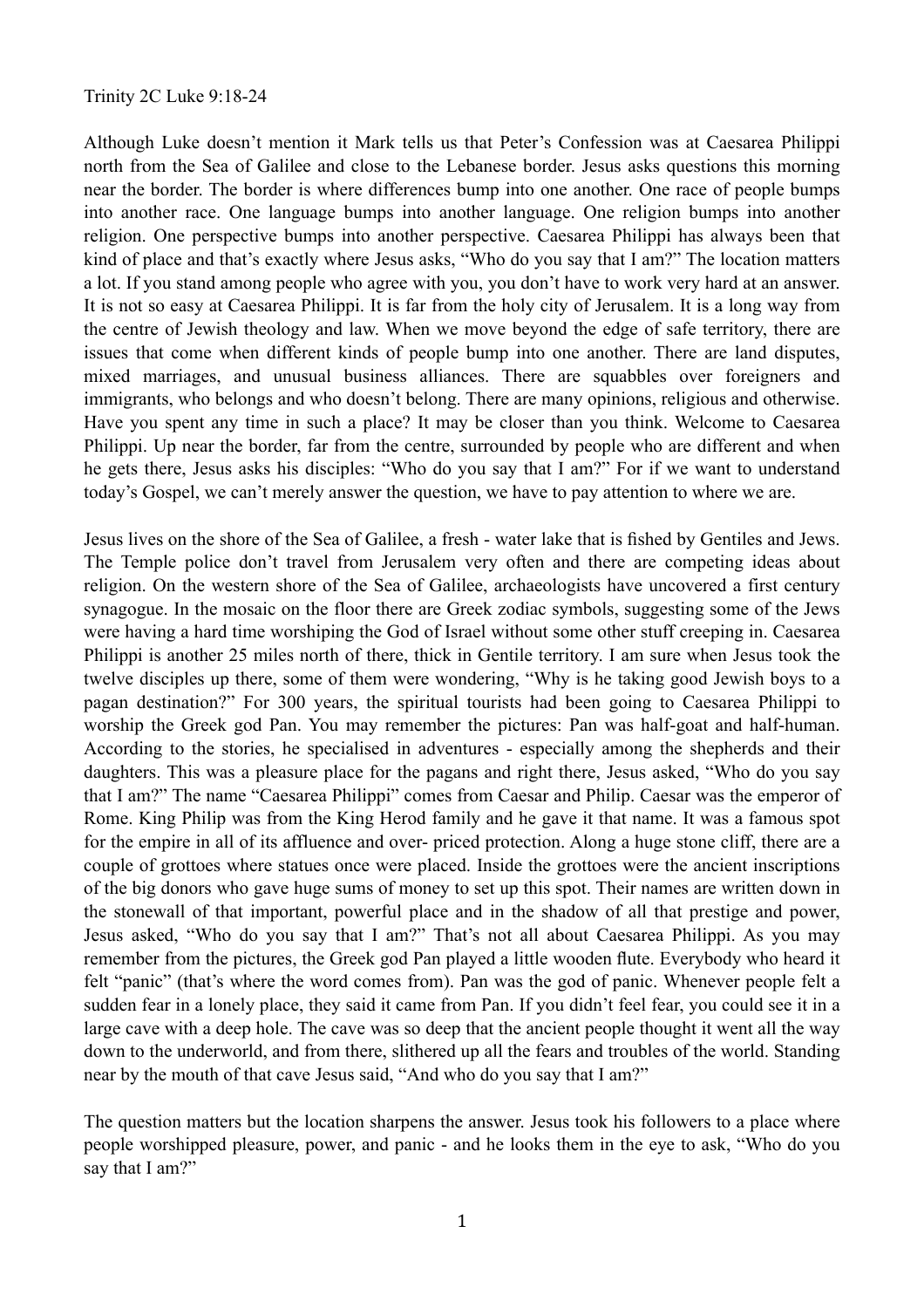## Trinity 2C Luke 9:18-24

Although Luke doesn't mention it Mark tells us that Peter's Confession was at Caesarea Philippi north from the Sea of Galilee and close to the Lebanese border. Jesus asks questions this morning near the border. The border is where differences bump into one another. One race of people bumps into another race. One language bumps into another language. One religion bumps into another religion. One perspective bumps into another perspective. Caesarea Philippi has always been that kind of place and that's exactly where Jesus asks, "Who do you say that I am?" The location matters a lot. If you stand among people who agree with you, you don't have to work very hard at an answer. It is not so easy at Caesarea Philippi. It is far from the holy city of Jerusalem. It is a long way from the centre of Jewish theology and law. When we move beyond the edge of safe territory, there are issues that come when different kinds of people bump into one another. There are land disputes, mixed marriages, and unusual business alliances. There are squabbles over foreigners and immigrants, who belongs and who doesn't belong. There are many opinions, religious and otherwise. Have you spent any time in such a place? It may be closer than you think. Welcome to Caesarea Philippi. Up near the border, far from the centre, surrounded by people who are different and when he gets there, Jesus asks his disciples: "Who do you say that I am?" For if we want to understand today's Gospel, we can't merely answer the question, we have to pay attention to where we are.

Jesus lives on the shore of the Sea of Galilee, a fresh - water lake that is fished by Gentiles and Jews. The Temple police don't travel from Jerusalem very often and there are competing ideas about religion. On the western shore of the Sea of Galilee, archaeologists have uncovered a first century synagogue. In the mosaic on the floor there are Greek zodiac symbols, suggesting some of the Jews were having a hard time worshiping the God of Israel without some other stuff creeping in. Caesarea Philippi is another 25 miles north of there, thick in Gentile territory. I am sure when Jesus took the twelve disciples up there, some of them were wondering, "Why is he taking good Jewish boys to a pagan destination?" For 300 years, the spiritual tourists had been going to Caesarea Philippi to worship the Greek god Pan. You may remember the pictures: Pan was half-goat and half-human. According to the stories, he specialised in adventures - especially among the shepherds and their daughters. This was a pleasure place for the pagans and right there, Jesus asked, "Who do you say that I am?" The name "Caesarea Philippi" comes from Caesar and Philip. Caesar was the emperor of Rome. King Philip was from the King Herod family and he gave it that name. It was a famous spot for the empire in all of its affluence and over- priced protection. Along a huge stone cliff, there are a couple of grottoes where statues once were placed. Inside the grottoes were the ancient inscriptions of the big donors who gave huge sums of money to set up this spot. Their names are written down in the stonewall of that important, powerful place and in the shadow of all that prestige and power, Jesus asked, "Who do you say that I am?" That's not all about Caesarea Philippi. As you may remember from the pictures, the Greek god Pan played a little wooden flute. Everybody who heard it felt "panic" (that's where the word comes from). Pan was the god of panic. Whenever people felt a sudden fear in a lonely place, they said it came from Pan. If you didn't feel fear, you could see it in a large cave with a deep hole. The cave was so deep that the ancient people thought it went all the way down to the underworld, and from there, slithered up all the fears and troubles of the world. Standing near by the mouth of that cave Jesus said, "And who do you say that I am?"

The question matters but the location sharpens the answer. Jesus took his followers to a place where people worshipped pleasure, power, and panic - and he looks them in the eye to ask, "Who do you say that I am?"